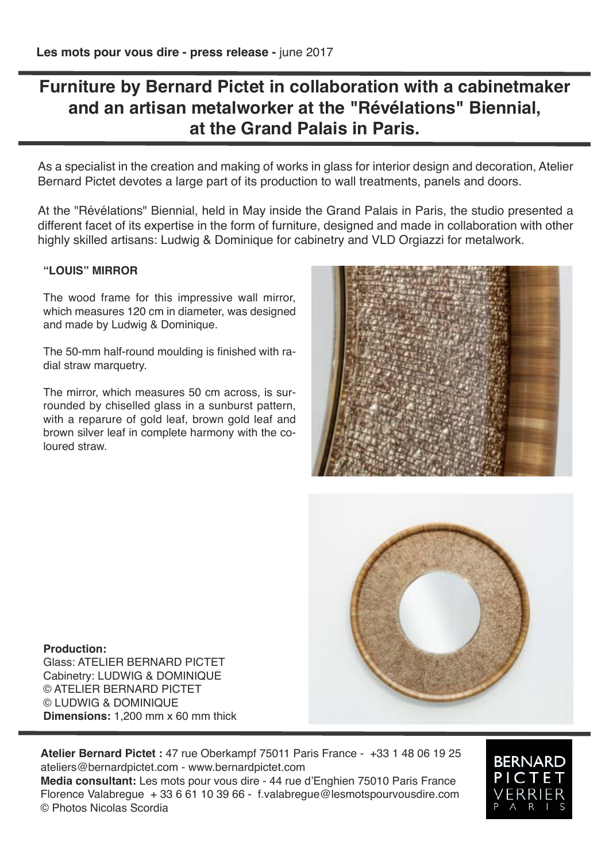## **Furniture by Bernard Pictet in collaboration with a cabinetmaker and an artisan metalworker at the "Révélations" Biennial, at the Grand Palais in Paris.**

As a specialist in the creation and making of works in glass for interior design and decoration, Atelier Bernard Pictet devotes a large part of its production to wall treatments, panels and doors.

At the "Révélations" Biennial, held in May inside the Grand Palais in Paris, the studio presented a different facet of its expertise in the form of furniture, designed and made in collaboration with other highly skilled artisans: Ludwig & Dominique for cabinetry and VLD Orgiazzi for metalwork.

### **"LOUIS" MIRROR**

The wood frame for this impressive wall mirror, which measures 120 cm in diameter, was designed and made by Ludwig & Dominique.

The 50-mm half-round moulding is finished with radial straw marquetry.

The mirror, which measures 50 cm across, is surrounded by chiselled glass in a sunburst pattern, with a reparure of gold leaf, brown gold leaf and brown silver leaf in complete harmony with the coloured straw.





**Production:** Glass: ATELIER BERNARD PICTET Cabinetry: LUDWIG & DOMINIQUE © ATELIER BERNARD PICTET © LUDWIG & DOMINIQUE **Dimensions:** 1,200 mm х 60 mm thick

**Atelier Bernard Pictet :** 47 rue Oberkampf 75011 Paris France - +33 1 48 06 19 25 ateliers@bernardpictet.com - www.bernardpictet.com **Media consultant:** Les mots pour vous dire - 44 rue d'Enghien 75010 Paris France Florence Valabregue + 33 6 61 10 39 66 - f.valabregue@lesmotspourvousdire.com © Photos Nicolas Scordia